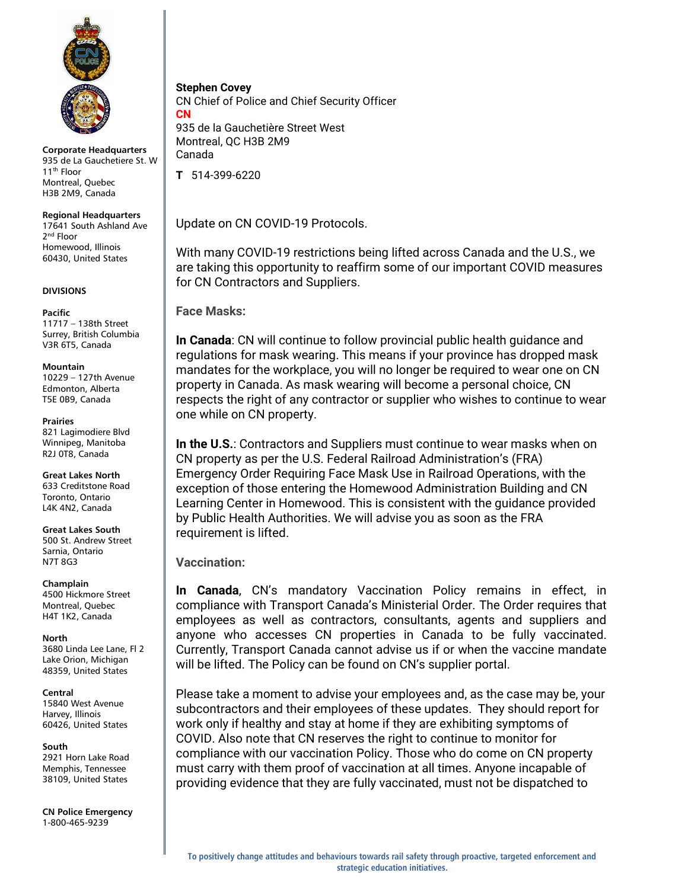

**Corporate Headquarters** 935 de La Gauchetiere St. W 11<sup>th</sup> Floor Montreal, Quebec H3B 2M9, Canada

# **Regional Headquarters**

17641 South Ashland Ave 2<sup>nd</sup> Floor Homewood, Illinois 60430, United States

### **DIVISIONS**

### **Pacific**

11717 – 138th Street Surrey, British Columbia V3R 6T5, Canada

### **Mountain**

10229 – 127th Avenue Edmonton, Alberta T5E 0B9, Canada

### **Prairies**

821 Lagimodiere Blvd Winnipeg, Manitoba R2J 0T8, Canada

**Great Lakes North** 633 Creditstone Road Toronto, Ontario L4K 4N2, Canada

**Great Lakes South** 500 St. Andrew Street Sarnia, Ontario

N7T 8G3

**Champlain** 4500 Hickmore Street Montreal, Quebec H4T 1K2, Canada

**North** 3680 Linda Lee Lane, Fl 2 Lake Orion, Michigan 48359, United States

### **Central**

15840 West Avenue Harvey, Illinois 60426, United States

# **South**

2921 Horn Lake Road Memphis, Tennessee 38109, United States

**CN Police Emergency** 1-800-465-9239

**Stephen Covey**

CN Chief of Police and Chief Security Officer **CN** 935 de la Gauchetière Street West Montreal, QC H3B 2M9 Canada

**T** 514-399-6220

Update on CN COVID-19 Protocols.

With many COVID-19 restrictions being lifted across Canada and the U.S., we are taking this opportunity to reaffirm some of our important COVID measures for CN Contractors and Suppliers.

**Face Masks:**

**In Canada**: CN will continue to follow provincial public health guidance and regulations for mask wearing. This means if your province has dropped mask mandates for the workplace, you will no longer be required to wear one on CN property in Canada. As mask wearing will become a personal choice, CN respects the right of any contractor or supplier who wishes to continue to wear one while on CN property.

**In the U.S.**: Contractors and Suppliers must continue to wear masks when on CN property as per the U.S. Federal Railroad Administration's (FRA) Emergency Order Requiring Face Mask Use in Railroad Operations, with the exception of those entering the Homewood Administration Building and CN Learning Center in Homewood. This is consistent with the guidance provided by Public Health Authorities. We will advise you as soon as the FRA requirement is lifted.

**Vaccination:**

**In Canada**, CN's mandatory Vaccination Policy remains in effect, in compliance with Transport Canada's Ministerial Order. The Order requires that employees as well as contractors, consultants, agents and suppliers and anyone who accesses CN properties in Canada to be fully vaccinated. Currently, Transport Canada cannot advise us if or when the vaccine mandate will be lifted. The Policy can be found on CN's supplier portal.

Please take a moment to advise your employees and, as the case may be, your subcontractors and their employees of these updates. They should report for work only if healthy and stay at home if they are exhibiting symptoms of COVID. Also note that CN reserves the right to continue to monitor for compliance with our vaccination Policy. Those who do come on CN property must carry with them proof of vaccination at all times. Anyone incapable of providing evidence that they are fully vaccinated, must not be dispatched to